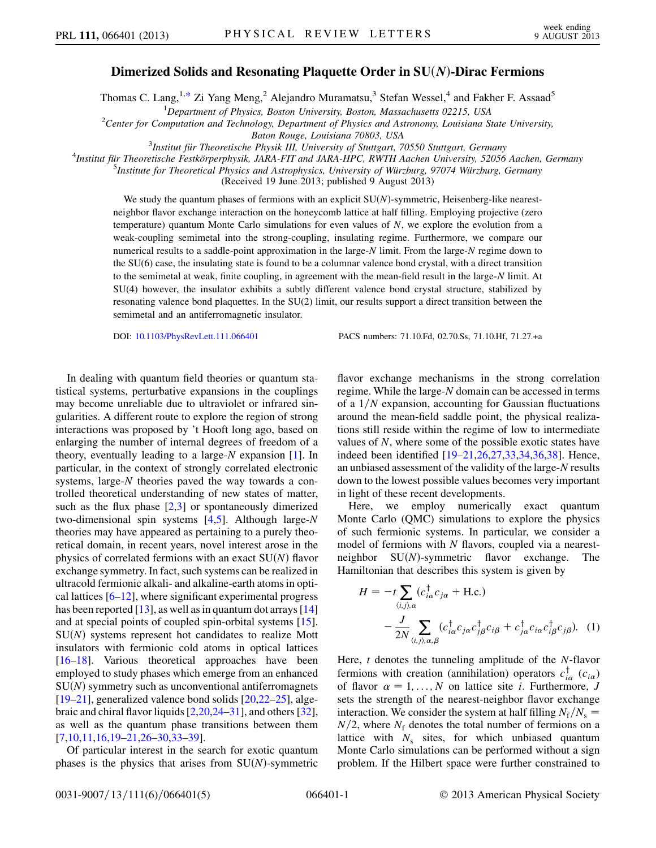## Dimerized Solids and Resonating Plaquette Order in SU(N)-Dirac Fermions

<span id="page-0-1"></span>Thomas C. Lang,  $1,*$  $1,*$  Zi Yang Meng,  $^2$  Alejandro Muramatsu, $^3$  Stefan Wessel,  $^4$  and Fakher F. Assaad<sup>5</sup>

<sup>1</sup>Department of Physics, Boston University, Boston, Massachusetts 02215, USA<br><sup>2</sup>Center for Computation and Technology, Department of Physics and Astronomy, Louisiana S

<sup>2</sup>Center for Computation and Technology, Department of Physics and Astronomy, Louisiana State University,

Baton Rouge, Louisiana 70803, USA<br><sup>3</sup> Institut für Theoretische Physik III, University of Stutteert, 7<sup>3</sup>

<sup>3</sup>Institut für Theoretische Physik III, University of Stuttgart, 70550 Stuttgart, Germany<br><sup>4</sup>Institut für Theoretische Eestkörnernhysik JARA EIT and JARA HPC RWTH Agchen University, 52056

 $^{4}$ Institut für Theoretische Festkörperphysik, JARA-FIT and JARA-HPC, RWTH Aachen University, 52056 Aachen, Germany

<sup>5</sup>Institute for Theoretical Physics and Astrophysics, University of Würzburg, 97074 Würzburg, Germany

(Received 19 June 2013; published 9 August 2013)

We study the quantum phases of fermions with an explicit  $SU(N)$ -symmetric, Heisenberg-like nearestneighbor flavor exchange interaction on the honeycomb lattice at half filling. Employing projective (zero temperature) quantum Monte Carlo simulations for even values of N, we explore the evolution from a weak-coupling semimetal into the strong-coupling, insulating regime. Furthermore, we compare our numerical results to a saddle-point approximation in the large-N limit. From the large-N regime down to the SU(6) case, the insulating state is found to be a columnar valence bond crystal, with a direct transition to the semimetal at weak, finite coupling, in agreement with the mean-field result in the large-N limit. At SU(4) however, the insulator exhibits a subtly different valence bond crystal structure, stabilized by resonating valence bond plaquettes. In the SU(2) limit, our results support a direct transition between the semimetal and an antiferromagnetic insulator.

DOI: [10.1103/PhysRevLett.111.066401](http://dx.doi.org/10.1103/PhysRevLett.111.066401) PACS numbers: 71.10.Fd, 02.70.Ss, 71.10.Hf, 71.27.+a

In dealing with quantum field theories or quantum statistical systems, perturbative expansions in the couplings may become unreliable due to ultraviolet or infrared singularities. A different route to explore the region of strong interactions was proposed by 't Hooft long ago, based on enlarging the number of internal degrees of freedom of a theory, eventually leading to a large- $N$  expansion [\[1\]](#page-4-1). In particular, in the context of strongly correlated electronic systems, large-N theories paved the way towards a controlled theoretical understanding of new states of matter, such as the flux phase  $[2,3]$  $[2,3]$  $[2,3]$  or spontaneously dimerized two-dimensional spin systems  $[4,5]$  $[4,5]$  $[4,5]$  $[4,5]$ . Although large-N theories may have appeared as pertaining to a purely theoretical domain, in recent years, novel interest arose in the physics of correlated fermions with an exact  $SU(N)$  flavor exchange symmetry. In fact, such systems can be realized in ultracold fermionic alkali- and alkaline-earth atoms in optical lattices  $[6–12]$  $[6–12]$  $[6–12]$ , where significant experimental progress has been reported  $[13]$ , as well as in quantum dot arrays  $[14]$ and at special points of coupled spin-orbital systems [\[15\]](#page-4-10).  $SU(N)$  systems represent hot candidates to realize Mott insulators with fermionic cold atoms in optical lattices [\[16–](#page-4-11)[18\]](#page-4-12). Various theoretical approaches have been employed to study phases which emerge from an enhanced  $SU(N)$  symmetry such as unconventional antiferromagnets  $[19–21]$  $[19–21]$ , generalized valence bond solids  $[20,22–25]$  $[20,22–25]$  $[20,22–25]$ , algebraic and chiral flavor liquids [[2](#page-4-2)[,20](#page-4-15)[,24](#page-4-18)[–31\]](#page-4-19), and others [[32\]](#page-4-20), as well as the quantum phase transitions between them [\[7,](#page-4-21)[10](#page-4-22)[,11](#page-4-23)[,16](#page-4-11)[,19](#page-4-13)[–21,](#page-4-14)[26–](#page-4-24)[30](#page-4-25),[33](#page-4-26)–[39](#page-4-27)].

Of particular interest in the search for exotic quantum phases is the physics that arises from  $SU(N)$ -symmetric flavor exchange mechanisms in the strong correlation regime. While the large-N domain can be accessed in terms of a  $1/N$  expansion, accounting for Gaussian fluctuations around the mean-field saddle point, the physical realizations still reside within the regime of low to intermediate values of N, where some of the possible exotic states have indeed been identified [[19](#page-4-13)[–21,](#page-4-14)[26](#page-4-24)[,27](#page-4-28)[,33](#page-4-26)[,34](#page-4-29)[,36,](#page-4-30)[38](#page-4-31)]. Hence, an unbiased assessment of the validity of the large-N results down to the lowest possible values becomes very important in light of these recent developments.

Here, we employ numerically exact quantum Monte Carlo (QMC) simulations to explore the physics of such fermionic systems. In particular, we consider a model of fermions with  $N$  flavors, coupled via a nearestneighbor  $SU(N)$ -symmetric flavor exchange. The Hamiltonian that describes this system is given by

<span id="page-0-0"></span>
$$
H = -t \sum_{\langle i,j \rangle,\alpha} (c_{i\alpha}^{\dagger} c_{j\alpha} + \text{H.c.})
$$

$$
- \frac{J}{2N} \sum_{\langle i,j \rangle,\alpha,\beta} (c_{i\alpha}^{\dagger} c_{j\alpha} c_{j\beta}^{\dagger} c_{i\beta} + c_{j\alpha}^{\dagger} c_{i\alpha} c_{i\beta}^{\dagger} c_{j\beta}). \quad (1)
$$

Here, t denotes the tunneling amplitude of the N-flavor fermions with creation (annihilation) operators  $c_{i\alpha}^{\dagger}$  ( $c_{i\alpha}$ ) of flavor  $\alpha = 1, ..., N$  on lattice site *i*. Furthermore, *J* sets the strength of the nearest-neighbor flavor exchange interaction. We consider the system at half filling  $N_f/N_s$  =  $N/2$ , where  $N_f$  denotes the total number of fermions on a lattice with  $N_s$  sites, for which unbiased quantum Monte Carlo simulations can be performed without a sign problem. If the Hilbert space were further constrained to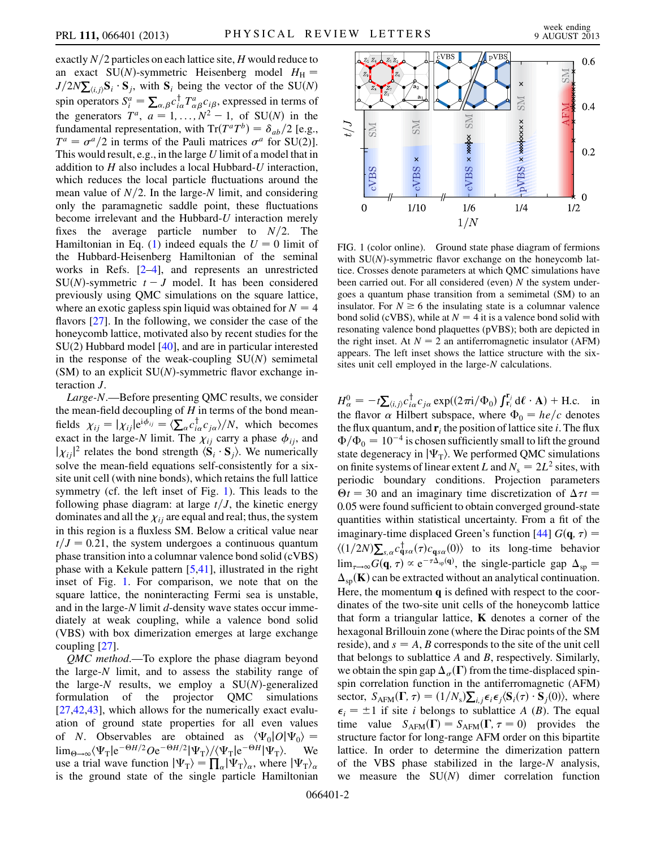exactly  $N/2$  particles on each lattice site, H would reduce to an exact SU(N)-symmetric Heisenberg model  $H<sub>H</sub>$  =  $J/2N\sum_{(i,j)}\mathbf{S}_i \cdot \mathbf{S}_j$ , with  $\mathbf{S}_i$  being the vector of the SU(N) spin operators  $S_i^a = \sum_{\alpha,\beta} c_{i\alpha}^\dagger T_{\alpha\beta}^a c_{i\beta}$ , expressed in terms of the generators  $T^a$ ,  $a = 1, ..., N^2 - 1$ , of SU(N) in the fundamental representation, with  $Tr(T^aT^b) = \delta_{ab}/2$  [e.g.,  $T^a = \sigma^a/2$  in terms of the Pauli matrices  $\sigma^a$  for SU(2)]. This would result, e.g., in the large U limit of a model that in addition to H also includes a local Hubbard-U interaction, which reduces the local particle fluctuations around the mean value of  $N/2$ . In the large-N limit, and considering only the paramagnetic saddle point, these fluctuations become irrelevant and the Hubbard-U interaction merely fixes the average particle number to  $N/2$ . The Hamiltonian in Eq. ([1\)](#page-0-0) indeed equals the  $U = 0$  limit of the Hubbard-Heisenberg Hamiltonian of the seminal works in Refs. [\[2](#page-4-2)–[4\]](#page-4-4), and represents an unrestricted SU(N)-symmetric  $t - J$  model. It has been considered previously using QMC simulations on the square lattice, where an exotic gapless spin liquid was obtained for  $N = 4$ flavors [[27](#page-4-28)]. In the following, we consider the case of the honeycomb lattice, motivated also by recent studies for the SU(2) Hubbard model [\[40\]](#page-4-32), and are in particular interested in the response of the weak-coupling  $SU(N)$  semimetal (SM) to an explicit  $SU(N)$ -symmetric flavor exchange interaction J.

Large-N.—Before presenting QMC results, we consider the mean-field decoupling of  $H$  in terms of the bond meanfields  $\chi_{ij} = |\chi_{ij}| e^{i\phi_{ij}} = \langle \sum_{\alpha} c_{i\alpha}^{\dagger} c_{j\alpha} \rangle / N$ , which becomes exact in the large-N limit. The  $\chi_{ij}$  carry a phase  $\phi_{ij}$ , and  $|\chi_{ij}|^2$  relates the bond strength  $\langle \mathbf{S}_i \cdot \mathbf{S}_j \rangle$ . We numerically solve the mean-field equations self-consistently for a sixsite unit cell (with nine bonds), which retains the full lattice symmetry (cf. the left inset of Fig. [1\)](#page-1-0). This leads to the following phase diagram: at large  $t/J$ , the kinetic energy dominates and all the  $\chi_{ij}$  are equal and real; thus, the system in this region is a fluxless SM. Below a critical value near  $t/J=0.21$ , the system undergoes a continuous quantum phase transition into a columnar valence bond solid (cVBS) phase with a Kekule pattern [\[5](#page-4-5)[,41\]](#page-4-33), illustrated in the right inset of Fig. [1](#page-1-0). For comparison, we note that on the square lattice, the noninteracting Fermi sea is unstable, and in the large-N limit d-density wave states occur immediately at weak coupling, while a valence bond solid (VBS) with box dimerization emerges at large exchange coupling [[27](#page-4-28)].

QMC method.—To explore the phase diagram beyond the large-N limit, and to assess the stability range of the large-N results, we employ a  $SU(N)$ -generalized formulation of the projector QMC simulations [\[27](#page-4-28)[,42,](#page-4-34)[43](#page-4-35)], which allows for the numerically exact evaluation of ground state properties for all even values of N. Observables are obtained as  $\langle \Psi_0 | O | \Psi_0 \rangle =$  $\lim_{\Theta \to \infty} \langle \Psi_{\text{T}} | e^{-\Theta H/2} O e^{-\Theta H/2} | \Psi_{\text{T}} \rangle / \langle \Psi_{\text{T}} | e^{-\Theta H} | \Psi_{\text{T}} \rangle$ . We use a trial wave function  $|\Psi_{T}\rangle = \prod_{\alpha} |\Psi_{T}\rangle_{\alpha}$ , where  $|\Psi_{T}\rangle_{\alpha}$ is the ground state of the single particle Hamiltonian

<span id="page-1-0"></span>

FIG. 1 (color online). Ground state phase diagram of fermions with  $SU(N)$ -symmetric flavor exchange on the honeycomb lattice. Crosses denote parameters at which QMC simulations have been carried out. For all considered (even)  $N$  the system undergoes a quantum phase transition from a semimetal (SM) to an insulator. For  $N \ge 6$  the insulating state is a columnar valence bond solid (cVBS), while at  $N = 4$  it is a valence bond solid with resonating valence bond plaquettes (pVBS); both are depicted in the right inset. At  $N = 2$  an antiferromagnetic insulator (AFM) appears. The left inset shows the lattice structure with the sixsites unit cell employed in the large-N calculations.

 $H^0_\alpha = -t \sum_{\langle i,j \rangle} c_{i\alpha}^\dagger c_{j\alpha} \exp((2\pi i/\Phi_0) \int_{r_i}^{r_j} d\ell \cdot A) + \text{H.c.}$  in the flavor  $\alpha$  Hilbert subspace, where  $\Phi_0 = he/c$  denotes the flux quantum, and  $\mathbf{r}_i$  the position of lattice site i. The flux  $\Phi/\Phi_0=10^{-4}$  is chosen sufficiently small to lift the ground state degeneracy in  $|\Psi_{\rm T}\rangle$ . We performed QMC simulations on finite systems of linear extent L and  $N_s = 2L^2$  sites, with periodic boundary conditions. Projection parameters  $\Theta t = 30$  and an imaginary time discretization of  $\Delta \tau t =$ 0:05 were found sufficient to obtain converged ground-state quantities within statistical uncertainty. From a fit of the imaginary-time displaced Green's function [\[44\]](#page-4-36)  $G(\mathbf{q}, \tau) =$  $\langle (1/2N)\sum_{s,\alpha} c_{\mathbf{q}s\alpha}^{\dagger}(\tau)c_{\mathbf{q}s\alpha}(0) \rangle$  to its long-time behavior  $\lim_{\tau \to \infty} G(\mathbf{q}, \tau) \propto e^{-\tau \hat{\Delta}_{sp}(\mathbf{q})}$ , the single-particle gap  $\Delta_{sp} =$  $\Delta_{\rm{sn}}(\mathbf{K})$  can be extracted without an analytical continuation. Here, the momentum  $q$  is defined with respect to the coordinates of the two-site unit cells of the honeycomb lattice that form a triangular lattice,  $\bf{K}$  denotes a corner of the hexagonal Brillouin zone (where the Dirac points of the SM reside), and  $s = A$ , B corresponds to the site of the unit cell that belongs to sublattice  $A$  and  $B$ , respectively. Similarly, we obtain the spin gap  $\Delta_{\sigma}(\Gamma)$  from the time-displaced spinspin correlation function in the antiferromagnetic (AFM) sector,  $S_{AFM}(\Gamma, \tau) = (1/N_s) \sum_{i,j} \epsilon_i \epsilon_j \langle \mathbf{S}_i(\tau) \cdot \mathbf{S}_j(0) \rangle$ , where  $\epsilon_i = \pm 1$  if site *i* belongs to sublattice *A* (*B*). The equal time value  $S_{AFM}(\Gamma) = S_{AFM}(\Gamma, \tau = 0)$  provides the structure factor for long-range AFM order on this bipartite lattice. In order to determine the dimerization pattern of the VBS phase stabilized in the large-N analysis, we measure the  $SU(N)$  dimer correlation function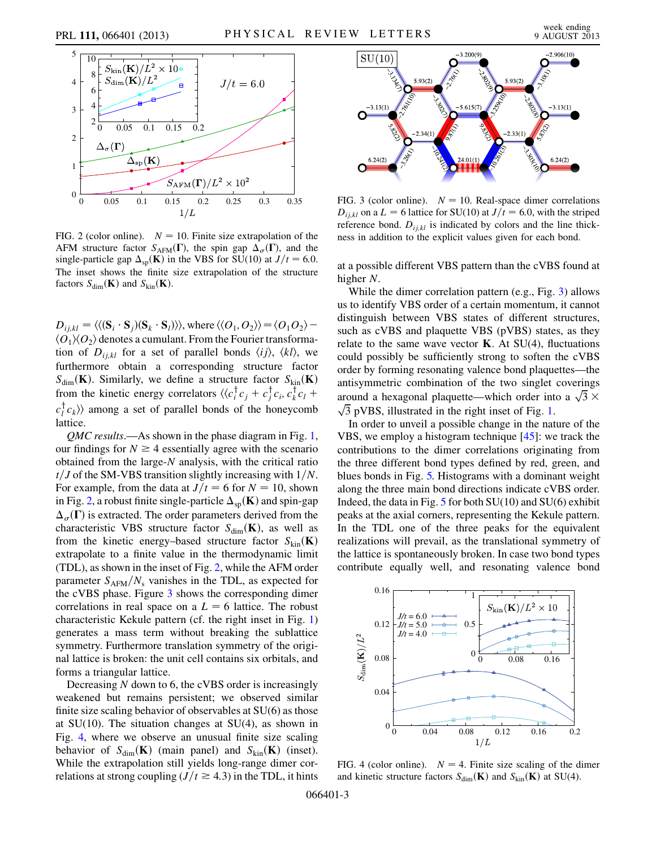<span id="page-2-0"></span>

FIG. 2 (color online).  $N = 10$ . Finite size extrapolation of the AFM structure factor  $S_{AFM}(\Gamma)$ , the spin gap  $\Delta_{\sigma}(\Gamma)$ , and the single-particle gap  $\Delta_{\text{sp}}(\mathbf{K})$  in the VBS for SU(10) at  $J/t = 6.0$ . The inset shows the finite size extrapolation of the structure factors  $S_{\text{dim}}(\mathbf{K})$  and  $S_{\text{kin}}(\mathbf{K})$ .

 $D_{ij,kl} = \langle \langle (\mathbf{S}_i \cdot \mathbf{S}_j)(\mathbf{S}_k \cdot \mathbf{S}_l) \rangle \rangle$ , where  $\langle \langle O_1, O_2 \rangle \rangle = \langle O_1 O_2 \rangle$  –  $\langle O_1 \rangle \langle O_2 \rangle$  denotes a cumulant. From the Fourier transformation of  $D_{i,k}$  for a set of parallel bonds  $\langle i j \rangle$ ,  $\langle k l \rangle$ , we furthermore obtain a corresponding structure factor  $S_{\text{dim}}(\mathbf{K})$ . Similarly, we define a structure factor  $S_{\text{kin}}(\mathbf{K})$ from the kinetic energy correlators  $\langle \langle c_i^{\dagger} c_j + c_j^{\dagger} c_i, c_k^{\dagger} c_l + \rangle$  $c_l^{\dagger} c_k$  among a set of parallel bonds of the honeycomb lattice.

QMC results.—As shown in the phase diagram in Fig. [1](#page-1-0), our findings for  $N \geq 4$  essentially agree with the scenario obtained from the large-N analysis, with the critical ratio  $t/J$  of the SM-VBS transition slightly increasing with  $1/N$ . For example, from the data at  $J/t = 6$  for  $N = 10$ , shown in Fig. [2](#page-2-0), a robust finite single-particle  $\Delta_{\text{so}}(\mathbf{K})$  and spin-gap  $\Delta_{\sigma}(\Gamma)$  is extracted. The order parameters derived from the characteristic VBS structure factor  $S_{\text{dim}}(\mathbf{K})$ , as well as from the kinetic energy–based structure factor  $S_{kin}(\mathbf{K})$ extrapolate to a finite value in the thermodynamic limit (TDL), as shown in the inset of Fig. [2](#page-2-0), while the AFM order parameter  $S_{AFM}/N_s$  vanishes in the TDL, as expected for the cVBS phase. Figure [3](#page-2-1) shows the corresponding dimer correlations in real space on a  $L = 6$  lattice. The robust characteristic Kekule pattern (cf. the right inset in Fig. [1\)](#page-1-0) generates a mass term without breaking the sublattice symmetry. Furthermore translation symmetry of the original lattice is broken: the unit cell contains six orbitals, and forms a triangular lattice.

Decreasing  $N$  down to 6, the cVBS order is increasingly weakened but remains persistent; we observed similar finite size scaling behavior of observables at SU(6) as those at  $SU(10)$ . The situation changes at  $SU(4)$ , as shown in Fig. [4](#page-2-2), where we observe an unusual finite size scaling behavior of  $S_{\text{dim}}(\mathbf{K})$  (main panel) and  $S_{\text{kin}}(\mathbf{K})$  (inset). While the extrapolation still yields long-range dimer correlations at strong coupling  $(J/t \ge 4.3)$  in the TDL, it hints

<span id="page-2-1"></span>

FIG. 3 (color online).  $N = 10$ . Real-space dimer correlations  $D_{i,i,kl}$  on a  $L = 6$  lattice for SU(10) at  $J/t = 6.0$ , with the striped reference bond.  $D_{i,j,kl}$  is indicated by colors and the line thickness in addition to the explicit values given for each bond.

at a possible different VBS pattern than the cVBS found at higher N.

While the dimer correlation pattern (e.g., Fig. [3\)](#page-2-1) allows us to identify VBS order of a certain momentum, it cannot distinguish between VBS states of different structures, such as cVBS and plaquette VBS (pVBS) states, as they relate to the same wave vector  $\bf{K}$ . At SU(4), fluctuations could possibly be sufficiently strong to soften the cVBS order by forming resonating valence bond plaquettes—the antisymmetric combination of the two singlet coverings around a hexagonal plaquette—which order into a  $\sqrt{3} \times \sqrt{3}$  pVBS, illustrated in the right inset of Fig. 1.  $\sqrt{3}$  pVBS, illustrated in the right inset of Fig. [1](#page-1-0).

In order to unveil a possible change in the nature of the VBS, we employ a histogram technique [[45](#page-4-37)]: we track the contributions to the dimer correlations originating from the three different bond types defined by red, green, and blues bonds in Fig. [5.](#page-3-0) Histograms with a dominant weight along the three main bond directions indicate cVBS order. Indeed, the data in Fig.  $5$  for both SU(10) and SU(6) exhibit peaks at the axial corners, representing the Kekule pattern. In the TDL one of the three peaks for the equivalent realizations will prevail, as the translational symmetry of the lattice is spontaneously broken. In case two bond types contribute equally well, and resonating valence bond

<span id="page-2-2"></span>

FIG. 4 (color online).  $N = 4$ . Finite size scaling of the dimer and kinetic structure factors  $S_{\text{dim}}(\mathbf{K})$  and  $S_{\text{kin}}(\mathbf{K})$  at SU(4).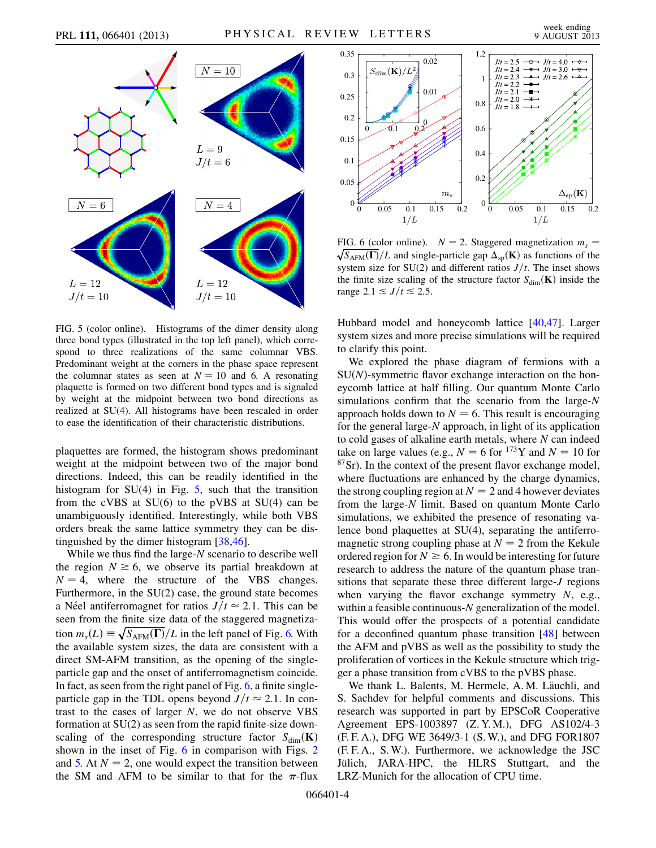<span id="page-3-0"></span>

FIG. 5 (color online). Histograms of the dimer density along three bond types (illustrated in the top left panel), which correspond to three realizations of the same columnar VBS. Predominant weight at the corners in the phase space represent the columnar states as seen at  $N = 10$  and 6. A resonating plaquette is formed on two different bond types and is signaled by weight at the midpoint between two bond directions as realized at SU(4). All histograms have been rescaled in order to ease the identification of their characteristic distributions.

plaquettes are formed, the histogram shows predominant weight at the midpoint between two of the major bond directions. Indeed, this can be readily identified in the histogram for  $SU(4)$  in Fig. [5,](#page-3-0) such that the transition from the cVBS at SU(6) to the pVBS at SU(4) can be unambiguously identified. Interestingly, while both VBS orders break the same lattice symmetry they can be distinguished by the dimer histogram [[38](#page-4-31)[,46\]](#page-4-38).

While we thus find the large-N scenario to describe well the region  $N \ge 6$ , we observe its partial breakdown at  $N = 4$ , where the structure of the VBS changes. Furthermore, in the SU(2) case, the ground state becomes a Néel antiferromagnet for ratios  $J/t \approx 2.1$ . This can be seen from the finite size data of the staggered magnetization  $m_s(L) \equiv \sqrt{S_{AFM}(\Gamma)}/L$  in the left panel of Fig. [6.](#page-3-1) With the available system sizes, the data are consistent with a direct SM-AFM transition, as the opening of the singleparticle gap and the onset of antiferromagnetism coincide. In fact, as seen from the right panel of Fig. [6](#page-3-1), a finite singleparticle gap in the TDL opens beyond  $J/t \approx 2.1$ . In contrast to the cases of larger  $N$ , we do not observe VBS formation at SU(2) as seen from the rapid finite-size downscaling of the corresponding structure factor  $S_{\text{dim}}(\mathbf{K})$ shown in the inset of Fig. [6](#page-3-1) in comparison with Figs. [2](#page-2-0) and [5.](#page-3-0) At  $N = 2$ , one would expect the transition between the SM and AFM to be similar to that for the  $\pi$ -flux

<span id="page-3-1"></span>

FIG. 6 (color online).  $N = 2$ . Staggered magnetization  $m_s = \sqrt{S_{\text{AFM}}(\Gamma)}/L$  and single-particle gap  $\Delta_{sp}(\mathbf{K})$  as functions of the system size for  $SU(2)$  and different ratios  $J/t$ . The inset shows the finite size scaling of the structure factor  $S_{\text{dim}}(\mathbf{K})$  inside the range 2.1  $\leq J/t \leq 2.5$ .

Hubbard model and honeycomb lattice [\[40](#page-4-32)[,47\]](#page-4-39). Larger system sizes and more precise simulations will be required to clarify this point.

We explored the phase diagram of fermions with a  $SU(N)$ -symmetric flavor exchange interaction on the honeycomb lattice at half filling. Our quantum Monte Carlo simulations confirm that the scenario from the large-N approach holds down to  $N = 6$ . This result is encouraging for the general large-N approach, in light of its application to cold gases of alkaline earth metals, where  $N$  can indeed take on large values (e.g.,  $N = 6$  for <sup>173</sup>Y and  $N = 10$  for 87Sr). In the context of the present flavor exchange model, where fluctuations are enhanced by the charge dynamics, the strong coupling region at  $N = 2$  and 4 however deviates from the large-N limit. Based on quantum Monte Carlo simulations, we exhibited the presence of resonating valence bond plaquettes at SU(4), separating the antiferromagnetic strong coupling phase at  $N = 2$  from the Kekule ordered region for  $N \ge 6$ . In would be interesting for future research to address the nature of the quantum phase transitions that separate these three different large-J regions when varying the flavor exchange symmetry  $N$ , e.g., within a feasible continuous-N generalization of the model. This would offer the prospects of a potential candidate for a deconfined quantum phase transition [[48](#page-4-40)] between the AFM and pVBS as well as the possibility to study the proliferation of vortices in the Kekule structure which trigger a phase transition from cVBS to the pVBS phase.

We thank L. Balents, M. Hermele, A. M. Läuchli, and S. Sachdev for helpful comments and discussions. This research was supported in part by EPSCoR Cooperative Agreement EPS-1003897 (Z. Y. M.), DFG AS102/4-3 (F. F. A.), DFG WE 3649/3-1 (S. W.), and DFG FOR1807 (F. F. A., S. W.). Furthermore, we acknowledge the JSC Jülich, JARA-HPC, the HLRS Stuttgart, and the LRZ-Munich for the allocation of CPU time.